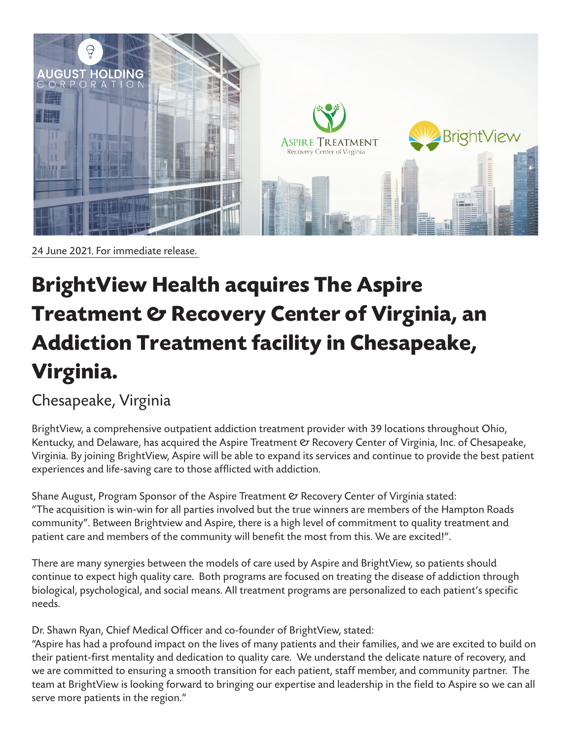

24 June 2021. For immediate release.

## **BrightView Health acquires The Aspire Treatment & Recovery Center of Virginia, an Addiction Treatment facility in Chesapeake, Virginia.**

## Chesapeake, Virginia

BrightView, a comprehensive outpatient addiction treatment provider with 39 locations throughout Ohio, Kentucky, and Delaware, has acquired the Aspire Treatment  $\mathfrak C$  Recovery Center of Virginia, Inc. of Chesapeake, Virginia. By joining BrightView, Aspire will be able to expand its services and continue to provide the best patient experiences and life-saving care to those afflicted with addiction.

Shane August, Program Sponsor of the Aspire Treatment  $\mathfrak O$  Recovery Center of Virginia stated: "The acquisition is win-win for all parties involved but the true winners are members of the Hampton Roads community". Between Brightview and Aspire, there is a high level of commitment to quality treatment and patient care and members of the community will benefit the most from this. We are excited!".

There are many synergies between the models of care used by Aspire and BrightView, so patients should continue to expect high quality care. Both programs are focused on treating the disease of addiction through biological, psychological, and social means. All treatment programs are personalized to each patient's specific needs.

Dr. Shawn Ryan, Chief Medical Officer and co-founder of BrightView, stated:

"Aspire has had a profound impact on the lives of many patients and their families, and we are excited to build on their patient-first mentality and dedication to quality care. We understand the delicate nature of recovery, and we are committed to ensuring a smooth transition for each patient, staff member, and community partner. The team at BrightView is looking forward to bringing our expertise and leadership in the field to Aspire so we can all serve more patients in the region."